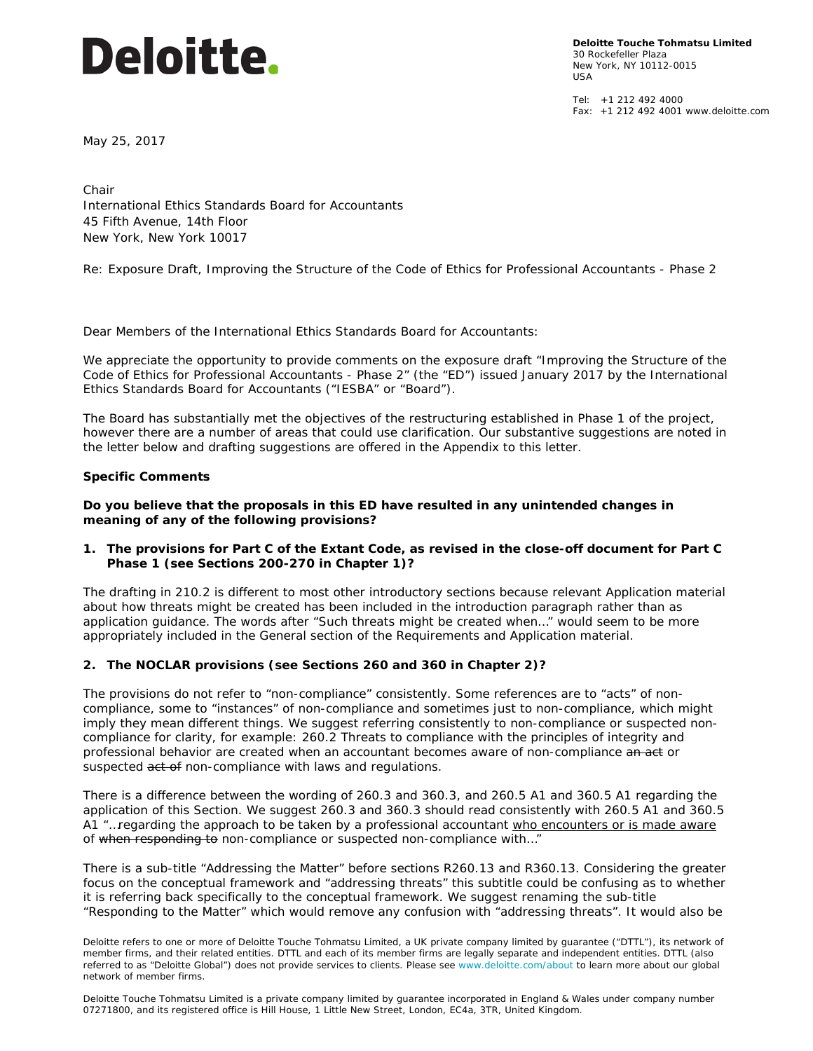# **Deloitte.**

**Deloitte Touche Tohmatsu Limited** 30 Rockefeller Plaza New York, NY 10112-0015 USA

 $Tel: +1 212 492 4000$ Fax: +1 212 492 4001 www.deloitte.com

May 25, 2017

Chair International Ethics Standards Board for Accountants 45 Fifth Avenue, 14th Floor New York, New York 10017

*Re: Exposure Draft, Improving the Structure of the Code of Ethics for Professional Accountants - Phase 2*

Dear Members of the International Ethics Standards Board for Accountants:

We appreciate the opportunity to provide comments on the exposure draft "*Improving the Structure of the Code of Ethics for Professional Accountants - Phase 2"* (the "ED") issued January 2017 by the International Ethics Standards Board for Accountants ("IESBA" or "Board").

The Board has substantially met the objectives of the restructuring established in Phase 1 of the project, however there are a number of areas that could use clarification. Our substantive suggestions are noted in the letter below and drafting suggestions are offered in the Appendix to this letter.

#### **Specific Comments**

**Do you believe that the proposals in this ED have resulted in any unintended changes in meaning of any of the following provisions?**

#### **1. The provisions for Part C of the Extant Code, as revised in the close-off document for Part C Phase 1 (see Sections 200-270 in Chapter 1)?**

The drafting in 210.2 is different to most other introductory sections because relevant Application material about how threats might be created has been included in the introduction paragraph rather than as application guidance. The words after "*Such threats might be created when…*" would seem to be more appropriately included in the General section of the Requirements and Application material.

#### **2. The NOCLAR provisions (see Sections 260 and 360 in Chapter 2)?**

The provisions do not refer to "non-compliance" consistently. Some references are to "acts" of noncompliance, some to "instances" of non-compliance and sometimes just to non-compliance, which might imply they mean different things. We suggest referring consistently to non-compliance or suspected noncompliance for clarity, for example: *260.2 Threats to compliance with the principles of integrity and professional behavior are created when an accountant becomes aware of non-compliance an act or suspected act of non-compliance with laws and regulations.*

There is a difference between the wording of 260.3 and 360.3, and 260.5 A1 and 360.5 A1 regarding the application of this Section. We suggest 260.3 and 360.3 should read consistently with 260.5 A1 and 360.5 A1 *"…regarding the approach to be taken by a professional accountant who encounters or is made aware of when responding to non-compliance or suspected non-compliance with…"* 

There is a sub-title "*Addressing the Matter*" before sections R260.13 and R360.13. Considering the greater focus on the conceptual framework and "addressing threats" this subtitle could be confusing as to whether it is referring back specifically to the conceptual framework. We suggest renaming the sub-title "*Responding to the Matter*" which would remove any confusion with "addressing threats". It would also be

Deloitte refers to one or more of Deloitte Touche Tohmatsu Limited, a UK private company limited by guarantee ("DTTL"), its network of member firms, and their related entities. DTTL and each of its member firms are legally separate and independent entities. DTTL (also referred to as "Deloitte Global") does not provide services to clients. Please see www.deloitte.com/about to learn more about our global network of member firms.

Deloitte Touche Tohmatsu Limited is a private company limited by guarantee incorporated in England & Wales under company number 07271800, and its registered office is Hill House, 1 Little New Street, London, EC4a, 3TR, United Kingdom.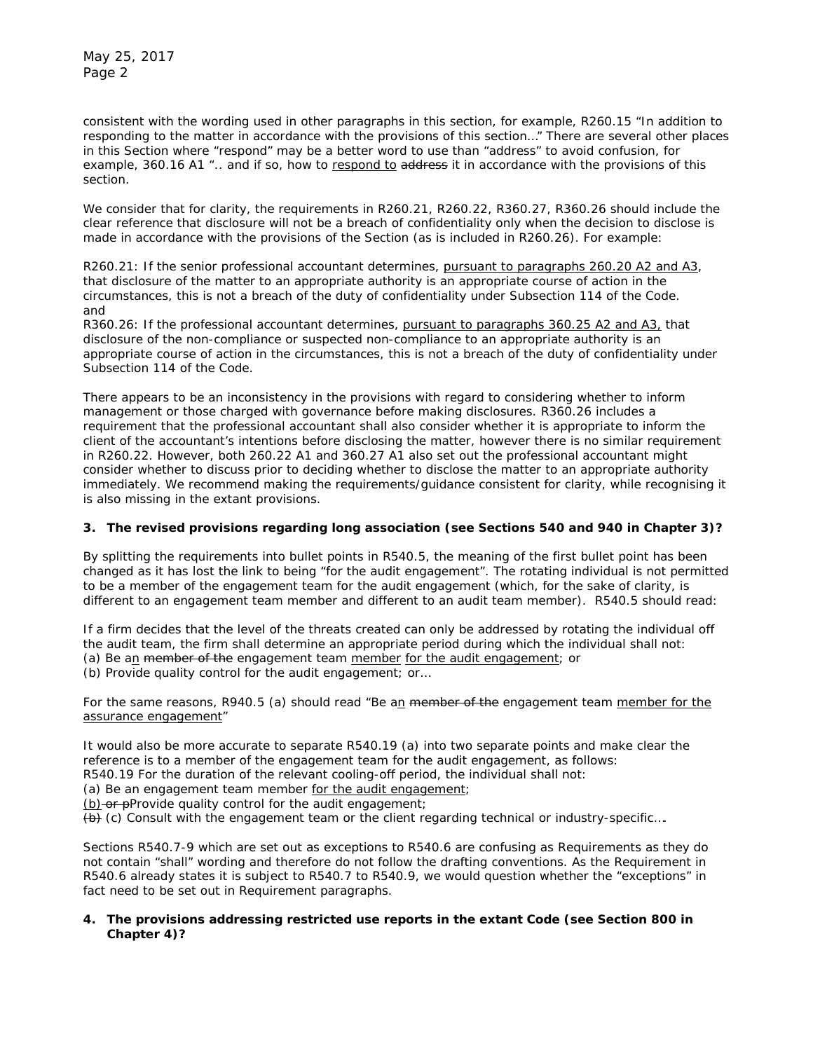consistent with the wording used in other paragraphs in this section, for example, *R260.15 "In addition to responding to the matter in accordance with the provisions of this section…"* There are several other places in this Section where "respond" may be a better word to use than "address" to avoid confusion, for example, *360.16 A1 ".. and if so, how to respond to address it in accordance with the provisions of this section.* 

We consider that for clarity, the requirements in R260.21, R260.22, R360.27, R360.26 should include the clear reference that disclosure will not be a breach of confidentiality only when the decision to disclose is made in accordance with the provisions of the Section (as is included in R260.26). For example:

*R260.21: If the senior professional accountant determines, pursuant to paragraphs 260.20 A2 and A3, that disclosure of the matter to an appropriate authority is an appropriate course of action in the circumstances, this is not a breach of the duty of confidentiality under Subsection 114 of the Code.* and

*R360.26: If the professional accountant determines, pursuant to paragraphs 360.25 A2 and A3, that disclosure of the non-compliance or suspected non-compliance to an appropriate authority is an appropriate course of action in the circumstances, this is not a breach of the duty of confidentiality under Subsection 114 of the Code.* 

There appears to be an inconsistency in the provisions with regard to considering whether to inform management or those charged with governance before making disclosures. R360.26 includes a requirement that the professional accountant shall also consider whether it is appropriate to inform the client of the accountant's intentions before disclosing the matter, however there is no similar requirement in R260.22. However, both 260.22 A1 and 360.27 A1 also set out the professional accountant might consider whether to discuss prior to deciding whether to disclose the matter to an appropriate authority *immediately*. We recommend making the requirements/guidance consistent for clarity, while recognising it is also missing in the extant provisions.

# **3. The revised provisions regarding long association (see Sections 540 and 940 in Chapter 3)?**

By splitting the requirements into bullet points in R540.5, the meaning of the first bullet point has been changed as it has lost the link to being "for the audit engagement". The rotating individual is not permitted to be a member of the engagement team for the audit engagement (which, for the sake of clarity, is different to an engagement team member and different to an audit team member). R540.5 should read:

*If a firm decides that the level of the threats created can only be addressed by rotating the individual off the audit team, the firm shall determine an appropriate period during which the individual shall not: (a) Be an member of the engagement team member for the audit engagement; or (b) Provide quality control for the audit engagement; or…*

For the same reasons, R940.5 (a) should read *"Be an member of the engagement team member for the assurance engagement"*

It would also be more accurate to separate R540.19 (a) into two separate points and make clear the reference is to a member of the engagement team for the audit engagement, as follows: *R540.19 For the duration of the relevant cooling-off period, the individual shall not:* 

*(a) Be an engagement team member for the audit engagement;*

*(b) or pProvide quality control for the audit engagement;* 

*(b) (c) Consult with the engagement team or the client regarding technical or industry-specific….*

Sections R540.7-9 which are set out as exceptions to R540.6 are confusing as Requirements as they do not contain "shall" wording and therefore do not follow the drafting conventions. As the Requirement in R540.6 already states it is subject to R540.7 to R540.9, we would question whether the "exceptions" in fact need to be set out in Requirement paragraphs.

#### **4. The provisions addressing restricted use reports in the extant Code (see Section 800 in Chapter 4)?**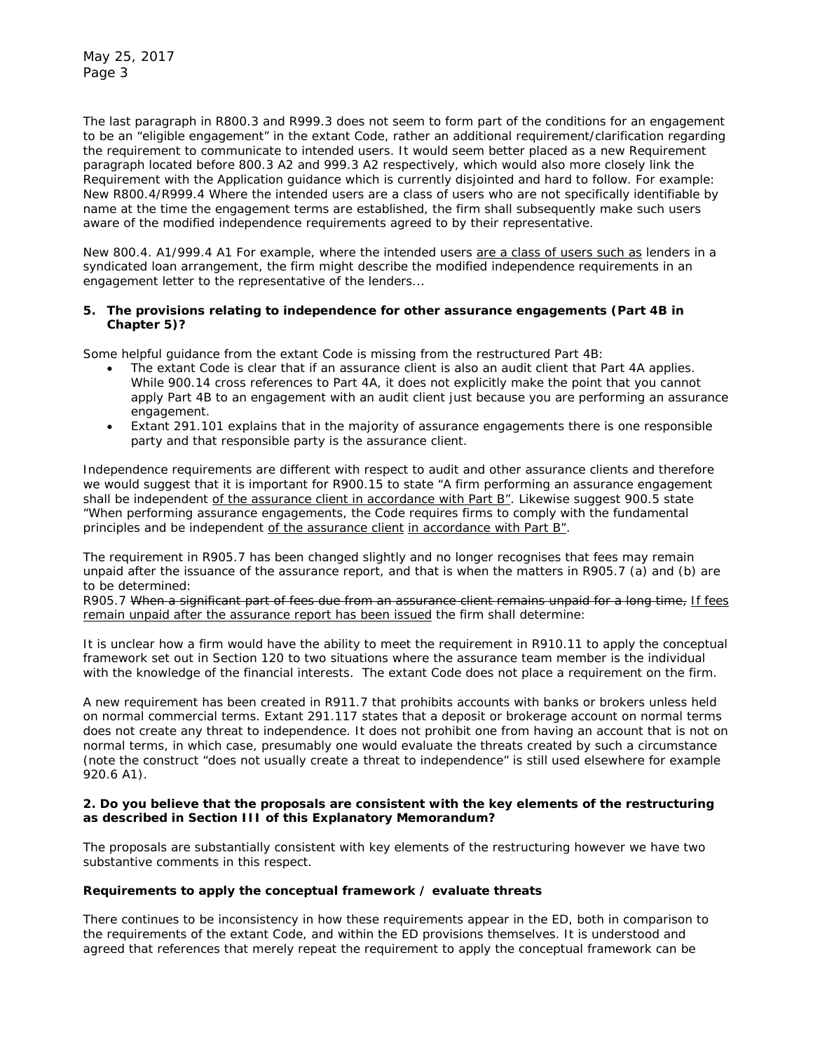The last paragraph in R800.3 and R999.3 does not seem to form part of the conditions for an engagement to be an "eligible engagement" in the extant Code, rather an additional requirement/clarification regarding the requirement to communicate to intended users. It would seem better placed as a new Requirement paragraph located before 800.3 A2 and 999.3 A2 respectively, which would also more closely link the Requirement with the Application guidance which is currently disjointed and hard to follow. For example: *New R800.4/R999.4 Where the intended users are a class of users who are not specifically identifiable by name at the time the engagement terms are established, the firm shall subsequently make such users aware of the modified independence requirements agreed to by their representative.* 

*New 800.4. A1/999.4 A1 For example, where the intended users are a class of users such as lenders in a syndicated loan arrangement, the firm might describe the modified independence requirements in an engagement letter to the representative of the lenders...*

#### **5. The provisions relating to independence for other assurance engagements (Part 4B in Chapter 5)?**

Some helpful guidance from the extant Code is missing from the restructured Part 4B:

- The extant Code is clear that if an assurance client is also an audit client that Part 4A applies. While 900.14 cross references to Part 4A, it does not explicitly make the point that you cannot apply Part 4B to an engagement with an audit client just because you are performing an assurance engagement.
- Extant 291.101 explains that in the majority of assurance engagements there is one responsible party and that responsible party is the assurance client.

Independence requirements are different with respect to audit and other assurance clients and therefore we would suggest that it is important for R900.15 to state *"A firm performing an assurance engagement shall be independent of the assurance client in accordance with Part B"*. Likewise suggest 900.5 state "*When performing assurance engagements, the Code requires firms to comply with the fundamental principles and be independent of the assurance client in accordance with Part B*".

The requirement in R905.7 has been changed slightly and no longer recognises that fees may remain unpaid after the issuance of the assurance report, and that is when the matters in R905.7 (a) and (b) are to be determined:

*R905.7 When a significant part of fees due from an assurance client remains unpaid for a long time, If fees remain unpaid after the assurance report has been issued the firm shall determine:*

It is unclear how a firm would have the ability to meet the requirement in R910.11 to apply the conceptual framework set out in Section 120 to two situations where the assurance team member is the individual with the knowledge of the financial interests. The extant Code does not place a requirement on the firm.

A new requirement has been created in R911.7 that prohibits accounts with banks or brokers unless held on normal commercial terms. Extant 291.117 states that a deposit or brokerage account on normal terms does not create any threat to independence. It does not prohibit one from having an account that is not on normal terms, in which case, presumably one would evaluate the threats created by such a circumstance (note the construct "does not usually create a threat to independence" is still used elsewhere for example 920.6 A1).

#### **2. Do you believe that the proposals are consistent with the key elements of the restructuring as described in Section III of this Explanatory Memorandum?**

The proposals are substantially consistent with key elements of the restructuring however we have two substantive comments in this respect.

#### *Requirements to apply the conceptual framework / evaluate threats*

There continues to be inconsistency in how these requirements appear in the ED, both in comparison to the requirements of the extant Code, and within the ED provisions themselves. It is understood and agreed that references that merely repeat the requirement to apply the conceptual framework can be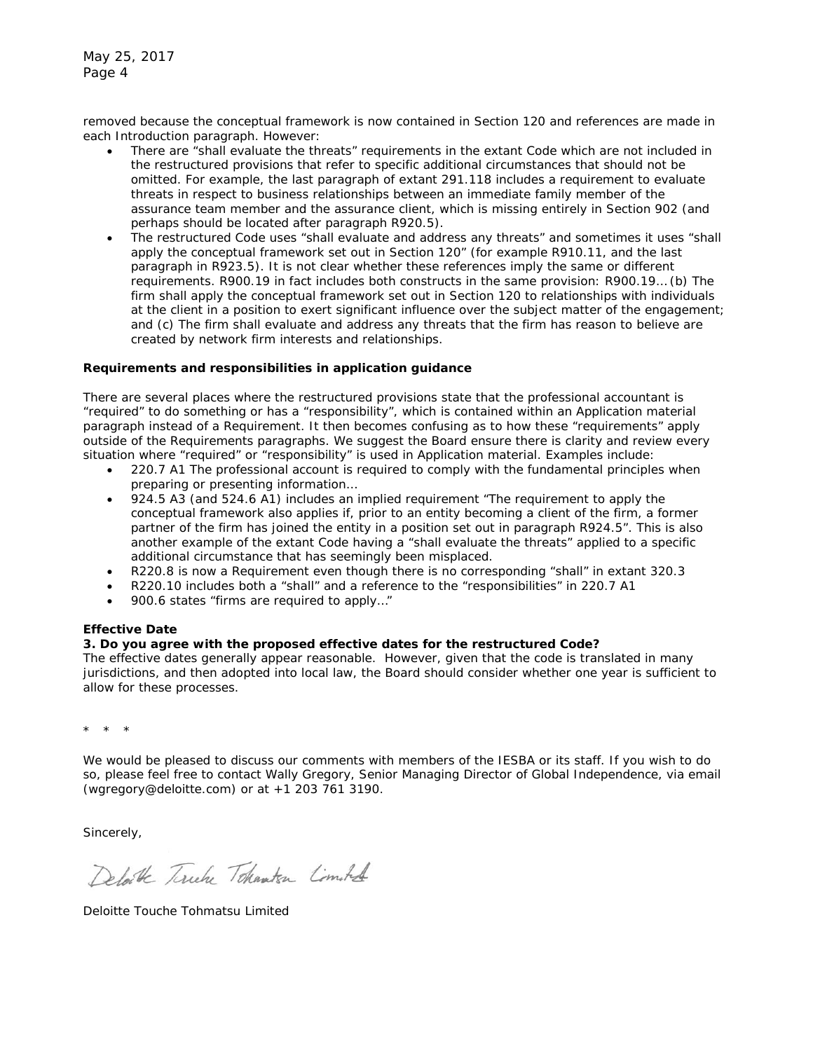removed because the conceptual framework is now contained in Section 120 and references are made in each Introduction paragraph. However:

- There are "shall evaluate the threats" requirements in the extant Code which are not included in the restructured provisions that refer to specific additional circumstances that should not be omitted. For example, the last paragraph of extant 291.118 includes a requirement to evaluate threats in respect to business relationships between an immediate family member of the assurance team member and the assurance client, which is missing entirely in Section 902 (and perhaps should be located after paragraph R920.5).
- The restructured Code uses "shall evaluate and address any threats" and sometimes it uses "shall apply the conceptual framework set out in Section 120" (for example R910.11, and the last paragraph in R923.5). It is not clear whether these references imply the same or different requirements. R900.19 in fact includes both constructs in the same provision: *R900.19… (b) The firm shall apply the conceptual framework set out in Section 120 to relationships with individuals at the client in a position to exert significant influence over the subject matter of the engagement; and (c) The firm shall evaluate and address any threats that the firm has reason to believe are created by network firm interests and relationships.*

#### *Requirements and responsibilities in application guidance*

There are several places where the restructured provisions state that the professional accountant is "required" to do something or has a "responsibility", which is contained within an Application material paragraph instead of a Requirement. It then becomes confusing as to how these "requirements" apply outside of the Requirements paragraphs. We suggest the Board ensure there is clarity and review every situation where "required" or "responsibility" is used in Application material. Examples include:

- *220.7 A1 The professional account is required to comply with the fundamental principles when preparing or presenting information…*
- 924.5 A3 (and 524.6 A1) includes an implied requirement "*The requirement to apply the conceptual framework also applies if, prior to an entity becoming a client of the firm, a former*  partner of the firm has joined the entity in a position set out in paragraph R924.5". This is also another example of the extant Code having a "shall evaluate the threats" applied to a specific additional circumstance that has seemingly been misplaced.
- R220.8 is now a Requirement even though there is no corresponding "shall" in extant 320.3
- R220.10 includes both a "shall" and a reference to the "responsibilities" in 220.7 A1
- 900.6 states "*firms are required to apply*…"

# **Effective Date**

# **3. Do you agree with the proposed effective dates for the restructured Code?**

The effective dates generally appear reasonable. However, given that the code is translated in many jurisdictions, and then adopted into local law, the Board should consider whether one year is sufficient to allow for these processes.

\* \* \*

We would be pleased to discuss our comments with members of the IESBA or its staff. If you wish to do so, please feel free to contact Wally Gregory, Senior Managing Director of Global Independence, via email (wgregory@deloitte.com) or at +1 203 761 3190.

Sincerely,

Delate Tirely Tokanten Comoted

Deloitte Touche Tohmatsu Limited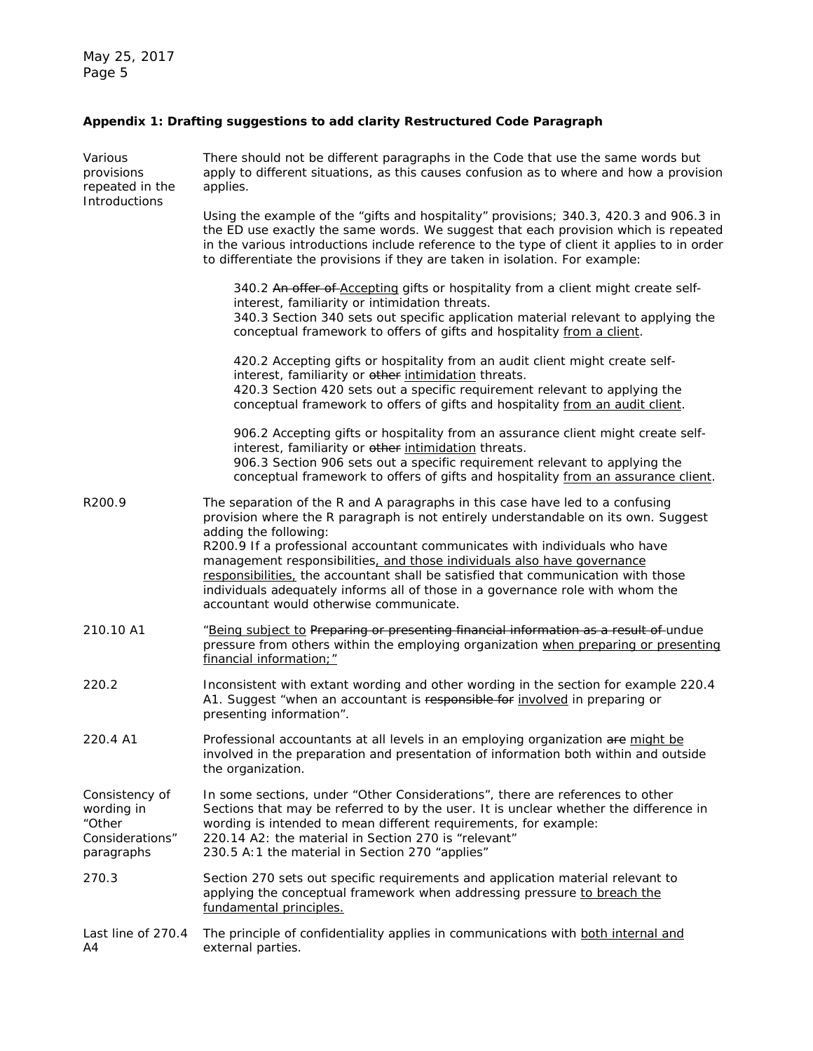# **Appendix 1: Drafting suggestions to add clarity Restructured Code Paragraph**

| Various<br>provisions<br>repeated in the<br>Introductions               | There should not be different paragraphs in the Code that use the same words but<br>apply to different situations, as this causes confusion as to where and how a provision<br>applies.                                                                                                                                                                                                                                                                                                                                                                                 |
|-------------------------------------------------------------------------|-------------------------------------------------------------------------------------------------------------------------------------------------------------------------------------------------------------------------------------------------------------------------------------------------------------------------------------------------------------------------------------------------------------------------------------------------------------------------------------------------------------------------------------------------------------------------|
|                                                                         | Using the example of the "gifts and hospitality" provisions; 340.3, 420.3 and 906.3 in<br>the ED use exactly the same words. We suggest that each provision which is repeated<br>in the various introductions include reference to the type of client it applies to in order<br>to differentiate the provisions if they are taken in isolation. For example:                                                                                                                                                                                                            |
|                                                                         | 340.2 An offer of Accepting gifts or hospitality from a client might create self-<br>interest, familiarity or intimidation threats.<br>340.3 Section 340 sets out specific application material relevant to applying the<br>conceptual framework to offers of gifts and hospitality from a client.                                                                                                                                                                                                                                                                      |
|                                                                         | 420.2 Accepting gifts or hospitality from an audit client might create self-<br>interest, familiarity or other intimidation threats.<br>420.3 Section 420 sets out a specific requirement relevant to applying the<br>conceptual framework to offers of gifts and hospitality from an audit client.                                                                                                                                                                                                                                                                     |
|                                                                         | 906.2 Accepting gifts or hospitality from an assurance client might create self-<br>interest, familiarity or other intimidation threats.<br>906.3 Section 906 sets out a specific requirement relevant to applying the<br>conceptual framework to offers of gifts and hospitality from an assurance client.                                                                                                                                                                                                                                                             |
| R200.9                                                                  | The separation of the R and A paragraphs in this case have led to a confusing<br>provision where the R paragraph is not entirely understandable on its own. Suggest<br>adding the following:<br>R200.9 If a professional accountant communicates with individuals who have<br>management responsibilities, and those individuals also have governance<br>responsibilities, the accountant shall be satisfied that communication with those<br>individuals adequately informs all of those in a governance role with whom the<br>accountant would otherwise communicate. |
| 210.10 A1                                                               | "Being subject to Preparing or presenting financial information as a result of undue<br>pressure from others within the employing organization when preparing or presenting<br>financial information;"                                                                                                                                                                                                                                                                                                                                                                  |
| 220.2                                                                   | Inconsistent with extant wording and other wording in the section for example 220.4<br>A1. Suggest "when an accountant is responsible for involved in preparing or<br>presenting information".                                                                                                                                                                                                                                                                                                                                                                          |
| 220.4 A1                                                                | Professional accountants at all levels in an employing organization are might be<br>involved in the preparation and presentation of information both within and outside<br>the organization.                                                                                                                                                                                                                                                                                                                                                                            |
| Consistency of<br>wording in<br>"Other<br>Considerations"<br>paragraphs | In some sections, under "Other Considerations", there are references to other<br>Sections that may be referred to by the user. It is unclear whether the difference in<br>wording is intended to mean different requirements, for example:<br>220.14 A2: the material in Section 270 is "relevant"<br>230.5 A:1 the material in Section 270 "applies"                                                                                                                                                                                                                   |
| 270.3                                                                   | Section 270 sets out specific requirements and application material relevant to<br>applying the conceptual framework when addressing pressure to breach the<br>fundamental principles.                                                                                                                                                                                                                                                                                                                                                                                  |
| Last line of 270.4<br>A4                                                | The principle of confidentiality applies in communications with both internal and<br>external parties.                                                                                                                                                                                                                                                                                                                                                                                                                                                                  |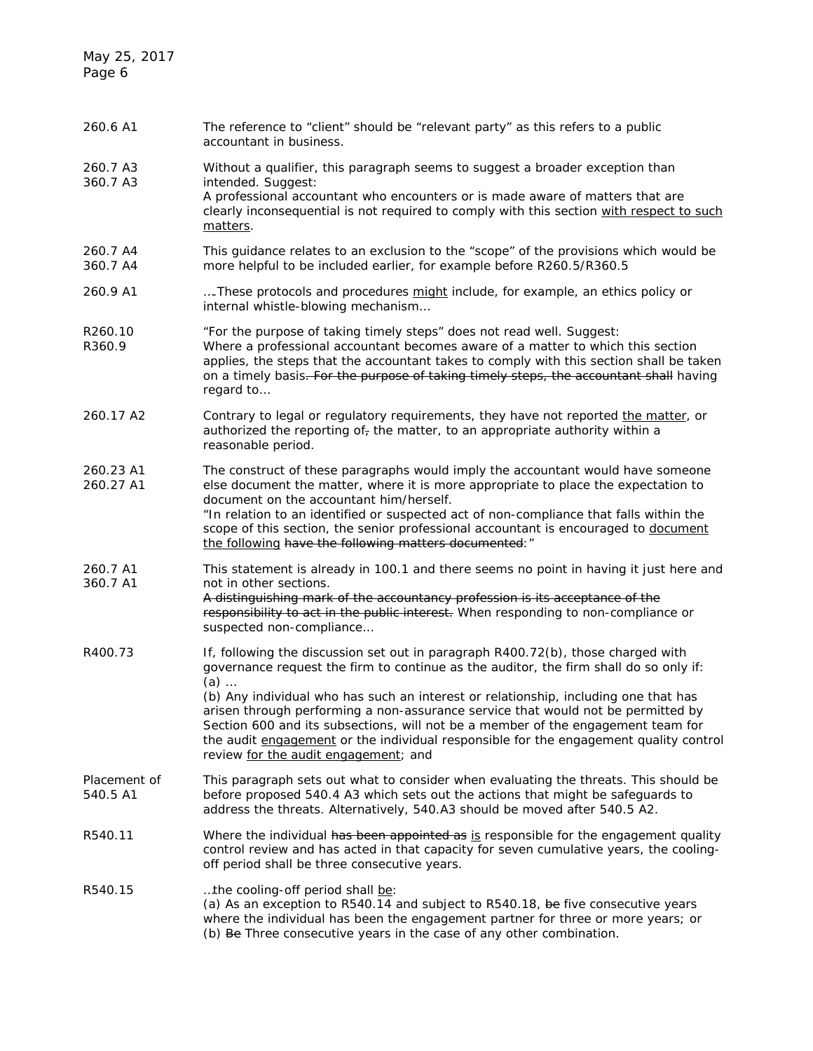| 260.6 A1                 | The reference to "client" should be "relevant party" as this refers to a public<br>accountant in business.                                                                                                                                                                                                                                                                                                                                                                                                                                                                         |
|--------------------------|------------------------------------------------------------------------------------------------------------------------------------------------------------------------------------------------------------------------------------------------------------------------------------------------------------------------------------------------------------------------------------------------------------------------------------------------------------------------------------------------------------------------------------------------------------------------------------|
| 260.7 A3<br>360.7 A3     | Without a qualifier, this paragraph seems to suggest a broader exception than<br>intended. Suggest:<br>A professional accountant who encounters or is made aware of matters that are<br>clearly inconsequential is not required to comply with this section with respect to such<br>matters.                                                                                                                                                                                                                                                                                       |
| 260.7 A4<br>360.7 A4     | This guidance relates to an exclusion to the "scope" of the provisions which would be<br>more helpful to be included earlier, for example before R260.5/R360.5                                                                                                                                                                                                                                                                                                                                                                                                                     |
| 260.9 A1                 | These protocols and procedures might include, for example, an ethics policy or<br>internal whistle-blowing mechanism                                                                                                                                                                                                                                                                                                                                                                                                                                                               |
| R260.10<br>R360.9        | "For the purpose of taking timely steps" does not read well. Suggest:<br>Where a professional accountant becomes aware of a matter to which this section<br>applies, the steps that the accountant takes to comply with this section shall be taken<br>on a timely basis. For the purpose of taking timely steps, the accountant shall having<br>regard to                                                                                                                                                                                                                         |
| 260.17 A2                | Contrary to legal or regulatory requirements, they have not reported the matter, or<br>authorized the reporting of $_7$ the matter, to an appropriate authority within a<br>reasonable period.                                                                                                                                                                                                                                                                                                                                                                                     |
| 260.23 A1<br>260.27 A1   | The construct of these paragraphs would imply the accountant would have someone<br>else document the matter, where it is more appropriate to place the expectation to<br>document on the accountant him/herself.<br>"In relation to an identified or suspected act of non-compliance that falls within the<br>scope of this section, the senior professional accountant is encouraged to document<br>the following have the following matters documented: "                                                                                                                        |
| 260.7 A1<br>360.7 A1     | This statement is already in 100.1 and there seems no point in having it just here and<br>not in other sections.<br>A distinguishing mark of the accountancy profession is its acceptance of the<br>responsibility to act in the public interest. When responding to non-compliance or<br>suspected non-compliance                                                                                                                                                                                                                                                                 |
| R400.73                  | If, following the discussion set out in paragraph R400.72(b), those charged with<br>governance request the firm to continue as the auditor, the firm shall do so only if:<br>$(a)$<br>(b) Any individual who has such an interest or relationship, including one that has<br>arisen through performing a non-assurance service that would not be permitted by<br>Section 600 and its subsections, will not be a member of the engagement team for<br>the audit engagement or the individual responsible for the engagement quality control<br>review for the audit engagement; and |
| Placement of<br>540.5 A1 | This paragraph sets out what to consider when evaluating the threats. This should be<br>before proposed 540.4 A3 which sets out the actions that might be safeguards to<br>address the threats. Alternatively, 540.A3 should be moved after 540.5 A2.                                                                                                                                                                                                                                                                                                                              |
| R540.11                  | Where the individual has been appointed as is responsible for the engagement quality<br>control review and has acted in that capacity for seven cumulative years, the cooling-<br>off period shall be three consecutive years.                                                                                                                                                                                                                                                                                                                                                     |
| R540.15                  | the cooling-off period shall be:<br>(a) As an exception to R540.14 and subject to R540.18, be five consecutive years<br>where the individual has been the engagement partner for three or more years; or<br>(b) Be Three consecutive years in the case of any other combination.                                                                                                                                                                                                                                                                                                   |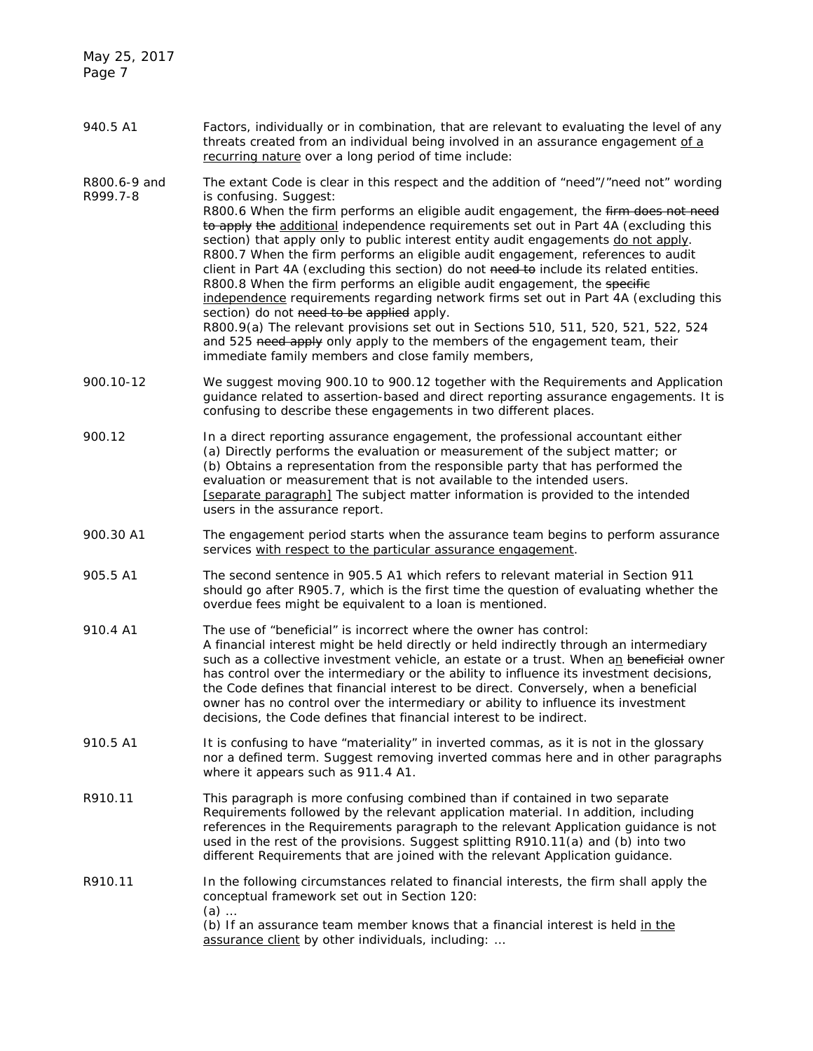May 25, 2017 Page 7

| 940.5 A1 | Factors, individually or in combination, that are relevant to evaluating the level of any |
|----------|-------------------------------------------------------------------------------------------|
|          | threats created from an individual being involved in an assurance engagement of a         |
|          | recurring nature over a long period of time include:                                      |

- R800.6-9 and R999.7-8 The extant Code is clear in this respect and the addition of "need"/"need not" wording is confusing. Suggest: R800.6 When the firm performs an eligible audit engagement, the firm does not need to apply the additional independence requirements set out in Part 4A (excluding this section) that apply only to public interest entity audit engagements do not apply. R800.7 When the firm performs an eligible audit engagement, references to audit client in Part 4A (excluding this section) do not need to include its related entities. R800.8 When the firm performs an eligible audit engagement, the specific independence requirements regarding network firms set out in Part 4A (excluding this section) do not need to be applied apply. R800.9(a) The relevant provisions set out in Sections 510, 511, 520, 521, 522, 524 and 525 need apply only apply to the members of the engagement team, their immediate family members and close family members,
- 900.10-12 We suggest moving 900.10 to 900.12 together with the Requirements and Application guidance related to assertion-based and direct reporting assurance engagements. It is confusing to describe these engagements in two different places.
- 900.12 In a direct reporting assurance engagement, the professional accountant either (a) Directly performs the evaluation or measurement of the subject matter; or (b) Obtains a representation from the responsible party that has performed the evaluation or measurement that is not available to the intended users. [separate paragraph] The subject matter information is provided to the intended users in the assurance report.
- 900.30 A1 The engagement period starts when the assurance team begins to perform assurance services with respect to the particular assurance engagement.
- 905.5 A1 The second sentence in 905.5 A1 which refers to relevant material in Section 911 should go after R905.7, which is the first time the question of evaluating whether the overdue fees might be equivalent to a loan is mentioned.
- 910.4 A1 The use of "beneficial" is incorrect where the owner has control: A financial interest might be held directly or held indirectly through an intermediary such as a collective investment vehicle, an estate or a trust. When an beneficial owner has control over the intermediary or the ability to influence its investment decisions, the Code defines that financial interest to be direct. Conversely, when a beneficial owner has no control over the intermediary or ability to influence its investment decisions, the Code defines that financial interest to be indirect.
- 910.5 A1 It is confusing to have "materiality" in inverted commas, as it is not in the glossary nor a defined term. Suggest removing inverted commas here and in other paragraphs where it appears such as 911.4 A1.
- R910.11 This paragraph is more confusing combined than if contained in two separate Requirements followed by the relevant application material. In addition, including references in the Requirements paragraph to the relevant Application guidance is not used in the rest of the provisions. Suggest splitting R910.11(a) and (b) into two different Requirements that are joined with the relevant Application guidance.
- R910.11 In the following circumstances related to financial interests, the firm shall apply the conceptual framework set out in Section 120: (a) … (b) If an assurance team member knows that a financial interest is held in the assurance client by other individuals, including: …